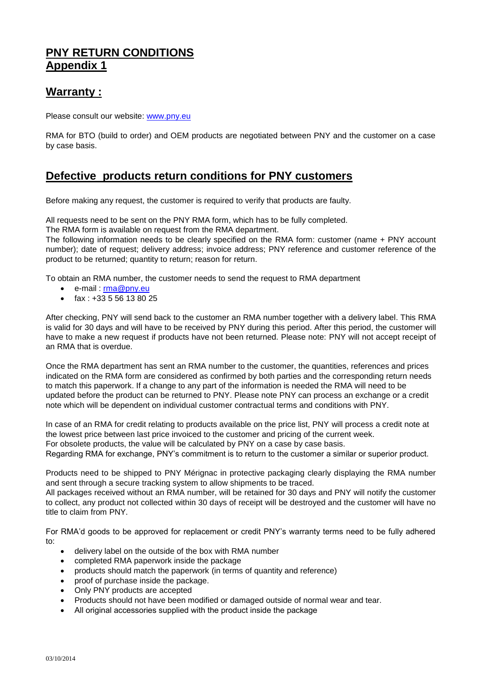## **PNY RETURN CONDITIONS Appendix 1**

## **Warranty :**

Please consult our website: [www.pny.eu](http://www.pny.eu/)

RMA for BTO (build to order) and OEM products are negotiated between PNY and the customer on a case by case basis.

## **Defective products return conditions for PNY customers**

Before making any request, the customer is required to verify that products are faulty.

All requests need to be sent on the PNY RMA form, which has to be fully completed.

The RMA form is available on request from the RMA department.

The following information needs to be clearly specified on the RMA form: customer (name + PNY account number); date of request; delivery address; invoice address; PNY reference and customer reference of the product to be returned; quantity to return; reason for return.

To obtain an RMA number, the customer needs to send the request to RMA department

- e-mail : [rma@pny.eu](mailto:rma@pny.eu)
- fax : +33 5 56 13 80 25

After checking, PNY will send back to the customer an RMA number together with a delivery label. This RMA is valid for 30 days and will have to be received by PNY during this period. After this period, the customer will have to make a new request if products have not been returned. Please note: PNY will not accept receipt of an RMA that is overdue.

Once the RMA department has sent an RMA number to the customer, the quantities, references and prices indicated on the RMA form are considered as confirmed by both parties and the corresponding return needs to match this paperwork. If a change to any part of the information is needed the RMA will need to be updated before the product can be returned to PNY. Please note PNY can process an exchange or a credit note which will be dependent on individual customer contractual terms and conditions with PNY.

In case of an RMA for credit relating to products available on the price list, PNY will process a credit note at the lowest price between last price invoiced to the customer and pricing of the current week. For obsolete products, the value will be calculated by PNY on a case by case basis. Regarding RMA for exchange, PNY's commitment is to return to the customer a similar or superior product.

Products need to be shipped to PNY Mérignac in protective packaging clearly displaying the RMA number and sent through a secure tracking system to allow shipments to be traced.

All packages received without an RMA number, will be retained for 30 days and PNY will notify the customer to collect, any product not collected within 30 days of receipt will be destroyed and the customer will have no title to claim from PNY.

For RMA'd goods to be approved for replacement or credit PNY's warranty terms need to be fully adhered to:

- delivery label on the outside of the box with RMA number
- completed RMA paperwork inside the package
- products should match the paperwork (in terms of quantity and reference)
- proof of purchase inside the package.
- Only PNY products are accepted
- Products should not have been modified or damaged outside of normal wear and tear.
- All original accessories supplied with the product inside the package